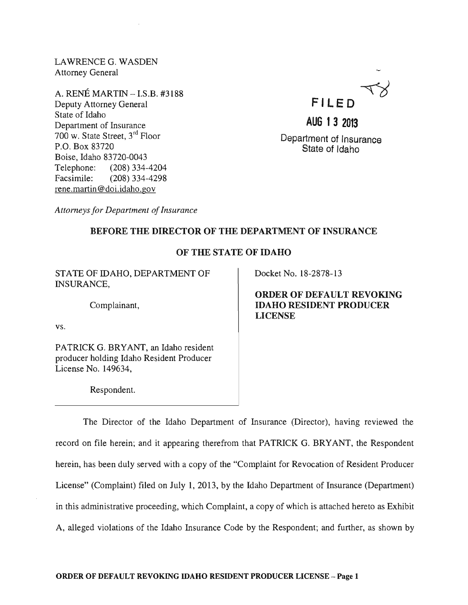LAWRENCEG. WASDEN Attorney General

A. RENE MARTIN - I.S.B. #3188 Deputy Attorney General State of Idaho Department of Insurance 700 w. State Street, 3rd Floor P.O. Box 83720 Boise, Idaho 83720-0043 Telephone: (208) 334-4204 Facsimile: (208) 334-4298 rene. martin @doi.idaho.gov



# **AUG 1 3 2013**

Department of Insurance State of Idaho

*Attorneys for Department of Insurance* 

# BEFORE THE DIRECTOR OF THE DEPARTMENT OF INSURANCE

# OF THE STATE OF IDAHO

STATE OF IDAHO, DEPARTMENT OF INSURANCE,

Complainant,

vs.

PATRICK G. BRYANT, an Idaho resident producer holding Idaho Resident Producer License No. 149634,

Respondent.

Docket No. 18-2878-13

ORDER OF DEFAULT REVOKING IDAHO RESIDENT PRODUCER LICENSE

The Director of the Idaho Department of Insurance (Director), having reviewed the record on file herein; and it appearing therefrom that PATRICK G. BRYANT, the Respondent herein, has been duly served with a copy of the "Complaint for Revocation of Resident Producer License" (Complaint) filed on July 1, 2013, by the Idaho Department of Insurance (Department) in this administrative proceeding, which Complaint, a copy of which is attached hereto as Exhibit A, alleged violations of the Idaho Insurance Code by the Respondent; and further, as shown by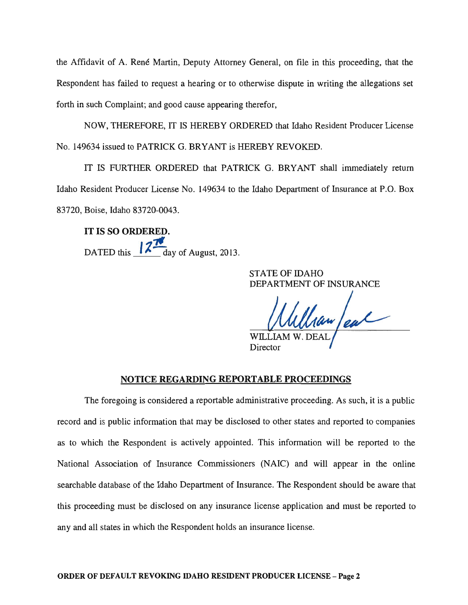the Affidavit of A. René Martin, Deputy Attorney General, on file in this proceeding, that the Respondent has failed to request a hearing or to otherwise dispute in writing the allegations set forth in such Complaint; and good cause appearing therefor,

NOW, THEREFORE, IT IS HEREBY ORDERED that Idaho Resident Producer License No. 149634 issued to PATRICK G. BRYANT is HEREBY REVOKED.

IT IS FURTHER ORDERED that PATRICK G. BRYANT shall immediately return Idaho Resident Producer License No. 149634 to the Idaho Department of Insurance at P.O. Box 83720, Boise, Idaho 83720-0043.

IT IS SO ORDERED. ." DATED this  $\frac{12}{\text{day of August, 2013}}$ .

> STATE OF IDAHO DEPARTMENT OF INSURANCE

Ullian au

Director

### NOTICE REGARDING REPORTABLE PROCEEDINGS

The foregoing is considered a reportable administrative proceeding. As such, it is a public record and is public information that may be disclosed to other states and reported to companies as to which the Respondent is actively appointed. This information will be reported to the National Association of Insurance Commissioners (NAIC) and will appear in the online searchable database of the Idaho Department of Insurance. The Respondent should be aware that this proceeding must be disclosed on any insurance license application and must be reported to any and all states in which the Respondent holds an insurance license.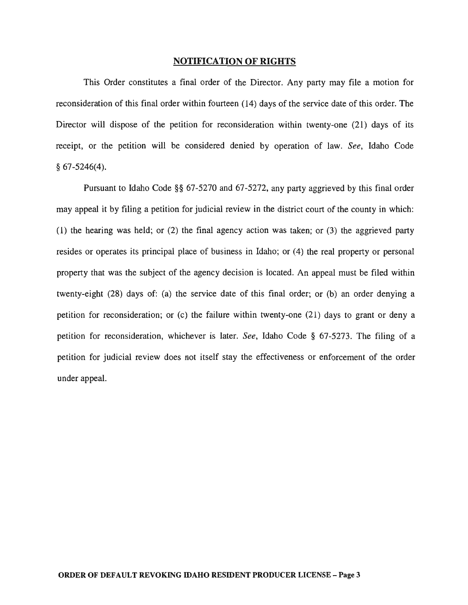#### NOTIFICATION OF RIGHTS

This Order constitutes a final order of the Director. Any party may file a motion for reconsideration of this final order within fourteen (14) days of the service date of this order. The Director will dispose of the petition for reconsideration within twenty-one (21) days of its receipt, or the petition will be considered denied by operation of law. *See,* Idaho Code  $§ 67-5246(4).$ 

Pursuant to Idaho Code §§ 67-5270 and 67-5272, any party aggrieved by this final order may appeal it by filing a petition for judicial review in the district court of the county in which: (1) the hearing was held; or (2) the final agency action was taken; or (3) the aggrieved party resides or operates its principal place of business in Idaho; or (4) the real property or personal property that was the subject of the agency decision is located. An appeal must be filed within twenty-eight (28) days of: (a) the service date of this final order; or (b) an order denying a petition for reconsideration; or (c) the failure within twenty-one (21) days to grant or deny a petition for reconsideration, whichever is later. *See,* Idaho Code § 67-5273. The filing of a petition for judicial review does not itself stay the effectiveness or enforcement of the order under appeal.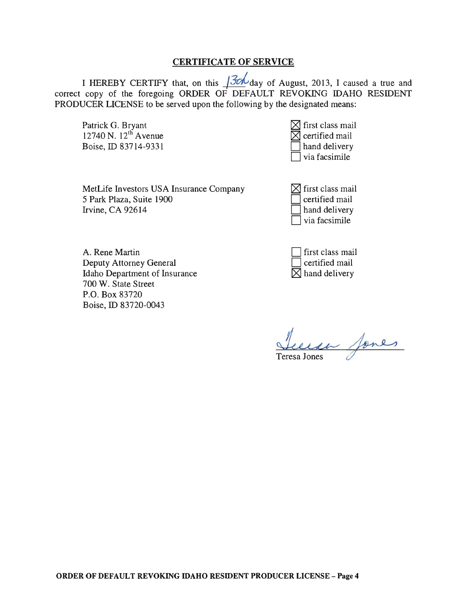# CERTIFICATE OF SERVICE

I HEREBY CERTIFY that, on this  $\sqrt{\frac{3\epsilon\hbar}{\epsilon}}$  day of August, 2013, I caused a true and correct copy of the foregoing ORDER OF DEFAULT REVOKING IDAHO RESIDENT PRODUCER LICENSE to be served upon the following by the designated means:

Patrick G. Bryant 12740 N.  $12^{th}$  Avenue Boise, ID 83714-9331

| $\boxtimes$ first class mail |
|------------------------------|
| $\boxtimes$ certified mail   |
| hand delivery                |
| via facsimile                |

MetLife Investors USA Insurance Company 5 Park Plaza, Suite 1900 Irvine, CA 92614

 $\boxtimes$  first class mail certified mail hand delivery via facsimile

A. Rene Martin Deputy Attorney General Idaho Department of Insurance 700 W. State Street P.O. Box 83720 Boise, ID 83720-0043

| first class mail          |
|---------------------------|
| certified mail            |
| $\boxtimes$ hand delivery |

a fones

ORDER OF DEFAULT REVOKING IDAHO RESIDENT PRODUCER LICENSE - Page 4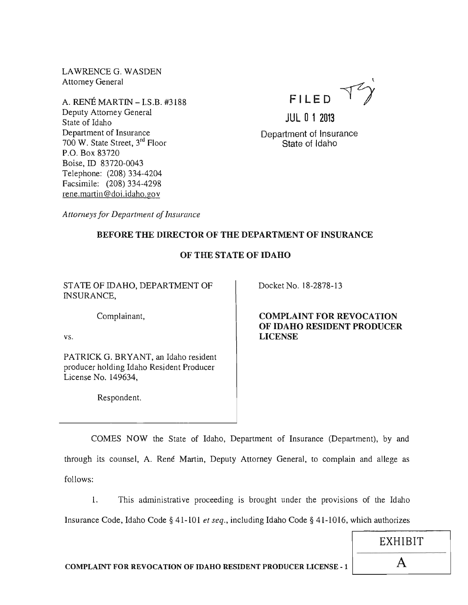LAWRENCE G. WASDEN Attorney General

A. RENE MARTIN -I.S.B. #3188 Deputy Attorney General State of Idaho Department of Insurance 700 W. State Street, 3rd Floor P.O. Box 83720 Boise, ID 83720-0043 Telephone: (208) 334-4204 Facsimile: (208) 334-4298 rene.martin@doi.idaho.gov



JUL 0 1 2013 Department of Insurance State of Idaho

*Attorneys for Department of Insurance* 

# BEFORE THE DIRECTOR OF THE DEPARTMENT OF INSURANCE

# OF THE STATE OF IDAHO

STATE OF IDAHO, DEPARTMENT OF INSURANCE,

Complainant,

vs.

PATRICK G. BRYANT, an Idaho resident producer holding Idaho Resident Producer License No. 149634,

Respondent.

Docket No. 18-2878-13

COMPLAINT FOR REVOCATION OF IDAHO RESIDENT PRODUCER LICENSE

COMES NOW the State of Idaho, Department of Insurance (Department), by and through its counsel, A. René Martin, Deputy Attorney General, to complain and allege as follows:

1. This administrative proceeding is brought under the provisions of the Idaho Insurance Code, Idaho Code § 41-101 *et seq.,* including Idaho Code § 41-1016, which authorizes

EXHIBIT

I

COMPLAINT FOR REVOCATION OF IDAHO RESIDENT PRODUCER LICENSE - 1 ----A----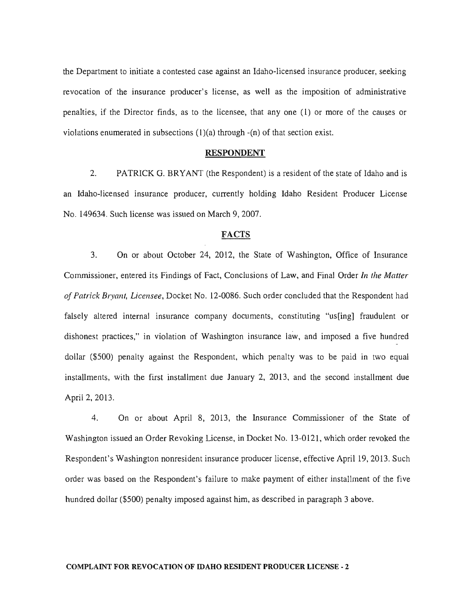the Department to initiate a contested case against an Idaho-licensed insurance producer, seeking revocation of the insurance producer's license, as well as the imposition of administrative penalties, if the Director finds, as to the licensee, that anyone (1) or more of the causes or violations enumerated in subsections  $(1)(a)$  through  $-(n)$  of that section exist.

#### RESPONDENT

2. PATRICK G. BRYANT (the Respondent) is a resident of the state of Idaho and is an Idaho-licensed insurance producer, currently holding Idaho Resident Producer License No. 149634. Such license was issued on March 9, 2007.

#### FACTS

3. On or about October 24, 2012, the State of Washington, Office of Insurance Commissioner, entered its Findings of Fact, Conclusions of Law, and Final Order *In the Matter of Patrick Bryant, Licensee,* Docket No. 12-0086. Such order concluded that the Respondent had falsely altered internal insurance company documents, constituting "us[ing] fraudulent or dishonest practices," in violation of Washington insurance law, and imposed a five hundred dollar (\$500) penalty against the Respondent, which penalty was to be paid in two equal installments, with the first installment due January 2, 2013, and the second installment due April 2, 2013.

4. On or about April 8, 2013, the Insurance Commissioner of the State of Washington issued an Order Revoking License, in Docket No. 13-0121, which order revoked the Respondent's Washington nonresident insurance producer license, effective April 19,2013. Such order was based on the Respondent's failure to make payment of either installment of the five hundred dollar (\$500) penalty imposed against him, as described in paragraph 3 above.

#### COMPLAINT FOR REVOCATION OF IDAHO RESIDENT PRODUCER LICENSE - 2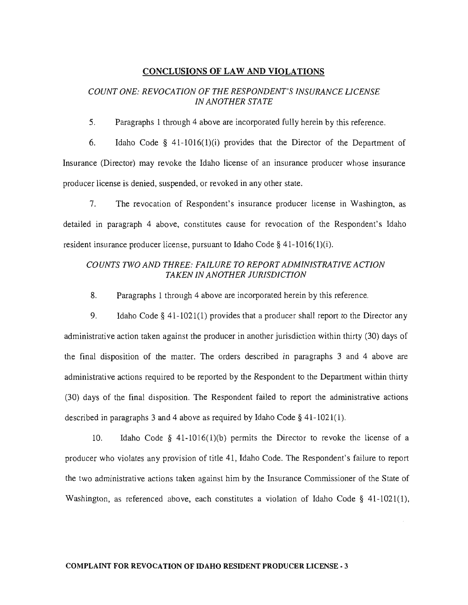### **CONCLUSIONS OF LAW AND VIOLATIONS**

# *COUNT ONE: REVOCATION OF THE RESPONDENT'S INSURANCE LICENSE IN ANOTHER STATE*

5. Paragraphs 1 through 4 above are incorporated fully herein by this reference.

6. Idaho Code § 41-1016(1)(i) provides that the Director of the Department of Insurance (Director) may revoke the Idaho license of an insurance producer whose insurance producer license is denied, suspended, or revoked in any other state.

7. The revocation of Respondent's insurance producer license in Washington, as detailed in paragraph 4 above, constitutes cause for revocation of the Respondent's Idaho resident insurance producer license, pursuant to Idaho Code  $\S$  41-1016(1)(i).

# *COUNTS TWO AND THREE: FAILURE TO REPORT ADMINISTRATIVE ACTION TAKEN IN ANOTHER JURISDICTION*

8. Paragraphs 1 through 4 above are incorporated herein by this reference.

9. Idaho Code § 41-1021(1) provides that a producer shall report to the Director any administrative action taken against the producer in another jurisdiction within thirty (30) days of the final disposition of the matter. The orders described in paragraphs 3 and 4 above are administrative actions required to be reported by the Respondent to the Department within thirty (30) days of the final disposition. The Respondent failed to report the administrative actions described in paragraphs 3 and 4 above as required by Idaho Code § 41-1021(1).

10. Idaho Code § 41-1016(1)(b) permits the Director to revoke the license of a producer who violates any provision of title 41, Idaho Code. The Respondent's failure to report the two administrative actions taken against him by the Insurance Commissioner of the State of Washington, as referenced above, each constitutes a violation of Idaho Code § 41-1021(1),

#### **COMPLAINT FOR REVOCATION OF IDAHO RESIDENT PRODUCER LICENSE· 3**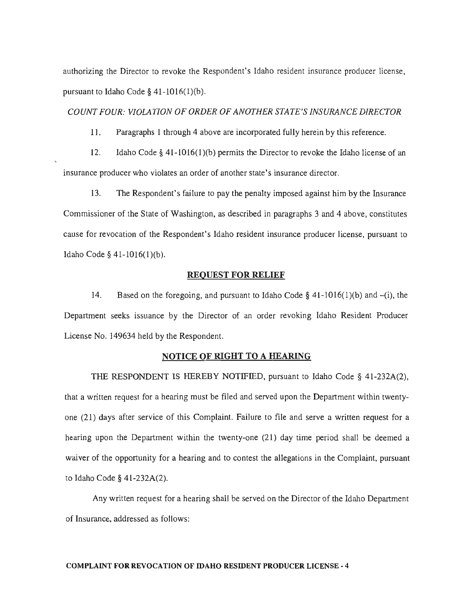authorizing the Director to revoke the Respondent's Idaho resident insurance producer license, pursuant to Idaho Code  $\S$  41-1016(1)(b).

#### *COUNT FOUR: VIOLATION OF ORDER OF ANOTHER STATE'S INSURANCE DIRECTOR*

11. Paragraphs 1 through 4 above are incorporated fully herein by this reference.

12. Idaho Code § 41-10 16(1 )(b) permits the Director to revoke the Idaho license of an insurance producer who violates an order of another state's insurance director.

13. The Respondent's failure to pay the penalty imposed against him by the Insurance Commissioner of the State of Washington, as described in paragraphs 3 and 4 above, constitutes cause for revocation of the Respondent's Idaho resident insurance producer license, pursuant to Idaho Code § 41-1016(1)(b).

#### REQUEST FOR RELIEF

14. Based on the foregoing, and pursuant to Idaho Code § 41-1016(1)(b) and -(i), the Department seeks issuance by the Director of an order revoking Idaho Resident Producer License No. 149634 held by the Respondent.

# NOTICE OF RIGHT TO A HEARING

THE RESPONDENT IS HEREBY NOTIFIED, pursuant to Idaho Code § 41-232A(2), that a written request for a hearing must be filed and served upon the Department within twentyone (21) days after service of this Complaint. Failure to file and serve a written request for a hearing upon the Department within the twenty-one (21) day time period shall be deemed a waiver of the opportunity for a hearing and to contest the allegations in the Complaint, pursuant to Idaho Code § 41-232A(2).

Any written request for a hearing shall be served on the Director of the Idaho Department of Insurance, addressed as follows:

#### COMPLAINT FOR REVOCATION OF IDAHO RESIDENT PRODUCER LICENSE - 4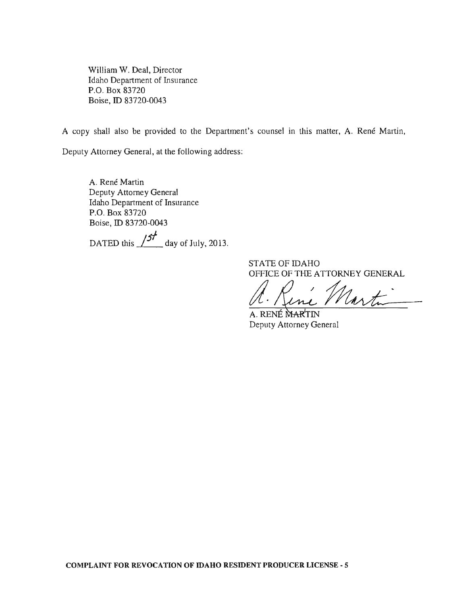William W. Deal, Director Idaho Department of Insurance P.O. Box 83720 Boise, ID 83720-0043

A copy shall also be provided to the Department's counsel in this matter, A. René Martin,

Deputy Attorney General, at the following address:

A. René Martin Deputy Attorney General Idaho Department of Insurance P.O. Box 83720 Boise, ID 83720-0043

DATED this  $\frac{37}{100}$  day of July, 2013.

STATE OF IDAHO OFFICE OF THE ATTORNEY GENERAL

A. Rine Martin

Deputy Attorney General